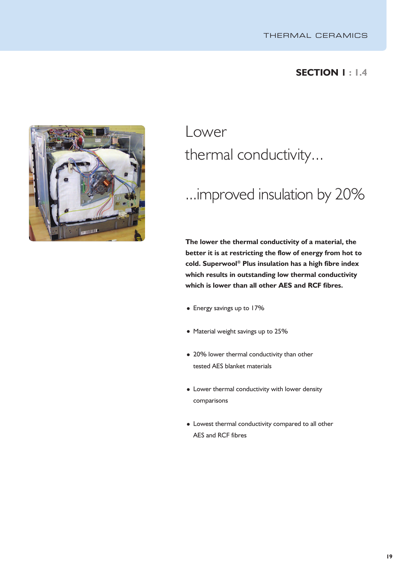**SECTION 1 : 1.4**



# Lower thermal conductivity...

## ...improved insulation by 20%

**The lower the thermal conductivity of a material, the better it is at restricting the flow of energy from hot to cold. Superwool ® Plus insulation has a high fibre index which results in outstanding low thermal conductivity which is lower than all other AES and RCF fibres.**

- Energy savings up to 17%
- Material weight savings up to 25%
- 20% lower thermal conductivity than other tested AES blanket materials
- Lower thermal conductivity with lower density comparisons
- Lowest thermal conductivity compared to all other AES and RCF fibres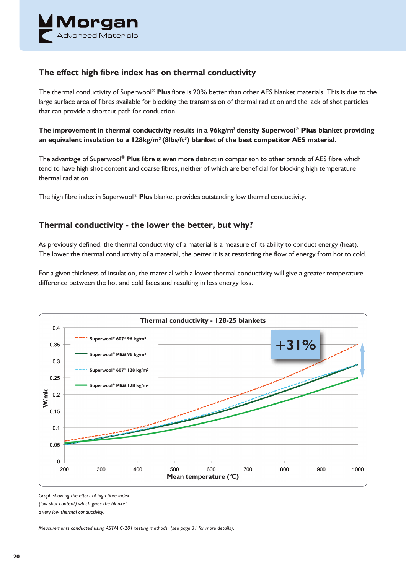

### **The effect high fibre index has on thermal conductivity**

The thermal conductivity of Superwool ® **Plus** fibre is 20% better than other AES blanket materials. This is due to the large surface area of fibres available for blocking the transmission of thermal radiation and the lack of shot particles that can provide a shortcut path for conduction.

**The improvement in thermal conductivity results in a 96kg/m3 density Superwool** ® **Plus blanket providing an equivalent insulation to a 128kg/m3 (8lbs/ft3 ) blanket of the best competitor AES material.**

The advantage of Superwool ® **Plus** fibre is even more distinct in comparison to other brands of AES fibre which tend to have high shot content and coarse fibres, neither of which are beneficial for blocking high temperature thermal radiation.

The high fibre index in Superwool ® **Plus** blanket provides outstanding low thermal conductivity.

#### **Thermal conductivity - the lower the better, but why?**

As previously defined, the thermal conductivity of a material is a measure of its ability to conduct energy (heat). The lower the thermal conductivity of a material, the better it is at restricting the flow of energy from hot to cold.

For a given thickness of insulation, the material with a lower thermal conductivity will give a greater temperature difference between the hot and cold faces and resulting in less energy loss.



*Graph showing the effect of high fibre index (low shot content) which gives the blanket a very low thermal conductivity.*

*Measurements conducted using ASTM C-201 testing methods. (see page 31 for more details).*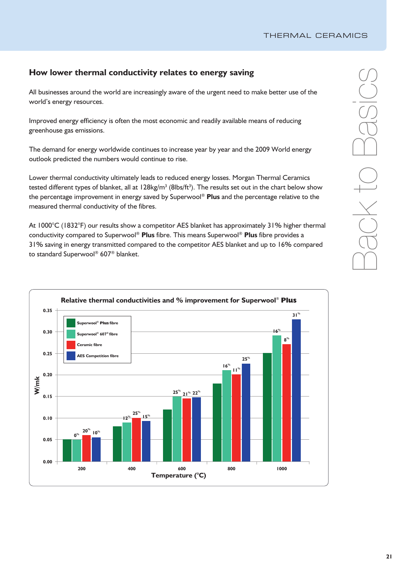### **How lower thermal conductivity relates to energy saving**

All businesses around the world are increasingly aware of the urgent need to make better use of the world's energy resources.

Improved energy efficiency is often the most economic and readily available means of reducing greenhouse gas emissions.

The demand for energy worldwide continues to increase year by year and the 2009 World energy outlook predicted the numbers would continue to rise.

Lower thermal conductivity ultimately leads to reduced energy losses. Morgan Thermal Ceramics tested different types of blanket, all at 128kg/m $^3$  (8lbs/ft $^3$ ). The results set out in the chart below show the percentage improvement in energy saved by Superwool ® **Plus** and the percentage relative to the measured thermal conductivity of the fibres.

At 1000°C (1832°F) our results show a competitor AES blanket has approximately 31% higher thermal conductivity compared to Superwool ® **Plus** fibre. This means Superwool ® **Plus** fibre provides a 31% saving in energy transmitted compared to the competitor AES blanket and up to 16% compared to standard Superwool ® 607® blanket.